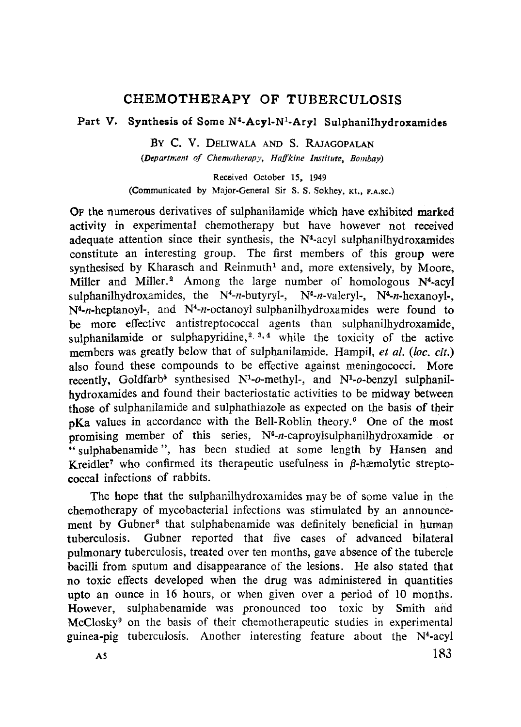# **CHEMOTHERAPY OF TUBERCULOSIS**

## **Part V. Synthesis of Some N <sup>4</sup>-Acyl-N<sup>1</sup> -Aryl Sulphanilhydroxamides**

BY C. V. DELIWALA AND S. RAJAGOPALAN *(Department of Chemotherapy, Nnfkine Institute, Bombay)*

Received October 15, 1949 (Communicated by Major-General Sir S. S. Sokhey, Kt., F.A.sc.)

OF the numerous derivatives of sulphanilamide which have exhibited marked activity in experimental chemotherapy but have however not received adequate attention since their synthesis, the  $N<sup>4</sup>$ -acyl sulphanilhydroxamides constitute an interesting group. The first members of this group were synthesised by Kharasch and Reinmuth<sup>1</sup> and, more extensively, by Moore, Miller and Miller.<sup>2</sup> Among the large number of homologous  $N<sup>4</sup>$ -acyl sulphanilhydroxamides, the N4*-*n-butyryl-, N4*-*n-valeryl-, N4*-*n-hexanoyl-, N4*-n-*heptanoyl-, and N4*-n-*octanoyl sulphanilhydroxamides were found to be more effective antistreptococcal agents than sulphanilhydroxamide, sulphanilamide or sulphapyridine,<sup>2, 3, 4</sup> while the toxicity of the active members was greatly below that of sulphanilamide. Hampil, *et al. (loc. cit.)* also found these compounds to be effective against meningococci. More recently, Goldfarb<sup>5</sup> synthesised  $N^1$ -o-methyl-, and  $N^1$ -o-benzyl sulphanilhydroxamides and found their bacteriostatic activities to be midway between those of sulphanilamide and sulphathiazole as expected on the basis of their pKa values in accordance with the Bell-Roblin theory. <sup>6</sup> One of the most promising member of this series, N4*-*n-caproylsulphanilhydroxamide or "sulphabenamide", has been studied at some length by Hansen and Kreidler<sup>7</sup> who confirmed its therapeutic usefulness in  $\beta$ -hæmolytic streptococcal infections of rabbits.

The hope that the sulphanilhydroxamides may be of some value in the chemotherapy of mycobacterial infections was stimulated by an announcement by Gubner<sup>8</sup> that sulphabenamide was definitely beneficial in human tuberculosis. Gubner reported that five cases of advanced bilateral pulmonary tuberculosis, treated over ten months, gave absence of the tubercle bacilli from sputum and disappearance of the lesions. He also stated that no toxic effects developed when the drug was administered in quantities upto an ounce in 16 hours, or when given over a period of 10 months. However, sulphabenamide was pronounced too toxic by Smith and McClosky<sup>9</sup> on the basis of their chemotherapeutic studies in experimental guinea-pig tuberculosis. Another interesting feature about the N<sup>4</sup>-acyl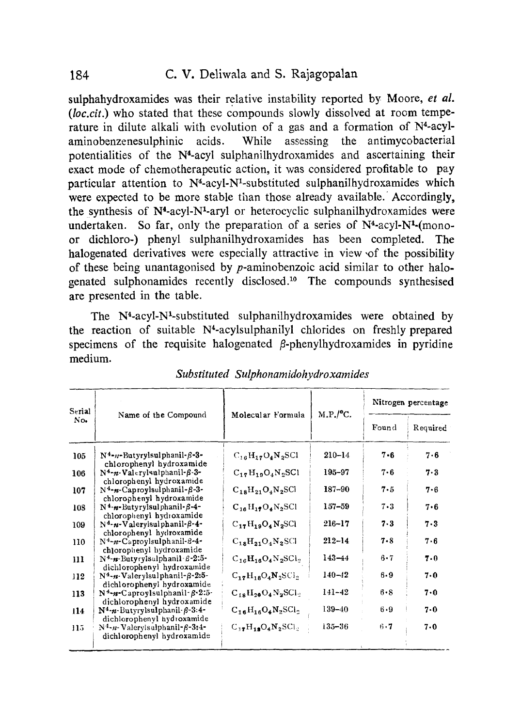sulphahydroxamides was their relative instability reported by Moore, *et al. (loc.cit.)* who stated that these compounds slowly dissolved at room temperature in dilute alkali with evolution of a gas and a formation of  $N<sup>4</sup>$ -acylaminobenzenesulphinic acids. While assessing the antimycobacterial potentialities of the N4-acyl sulphanilhydroxamides and ascertaining their exact mode of chemotherapeutic action, it was considered profitable to pay particular attention to  $N^4$ -acyl- $N^1$ -substituted sulphanilhydroxamides which were expected to be more stable than those already available. Accordingly, the synthesis of  $N^4$ -acyl- $N^1$ -aryl or heterocyclic sulphanilhydroxamides were undertaken. So far, only the preparation of a series of  $N<sup>4</sup>$ -acyl- $N<sup>1</sup>$ -(monoor dichloro-) phenyl sulphanilhydroxamides has been completed. The halogenated derivatives were especially attractive in view of the possibility of these being unantagonised by p-aminobenzoic acid similar to other halogenated sulphonamides recently disclosed. <sup>10</sup> The compounds synthesised are presented in the table.

The N4-acyl-N'-substituted sulphanilhydroxamides were obtained by the reaction of suitable N4-acylsulphanilyl chlorides on freshly prepared specimens of the requisite halogenated  $\beta$ -phenylhydroxamides in pyridine medium.

| Serial<br>No. | Name of the Compound                                                            |                           |                       | Nitrogen percentage |          |
|---------------|---------------------------------------------------------------------------------|---------------------------|-----------------------|---------------------|----------|
|               |                                                                                 | Molecular Formula         | M.P./ <sup>o</sup> C. | Found               | Required |
| 105           | $N4$ -n-Butyrylsulphanil- $\beta$ -3-<br>chlorophenyl hydroxamide               | $C_{16}H_{17}O_4N_2SC1$   | $210 - 14$            | 7 - 6               | 7.6      |
| 106           | $N^4$ -n-Valerylsulphanil- $\beta$ -3-<br>chlorophenyl hydroxamide              | $C_{17}H_{19}O_4N_2SC1$   | $195 - 97$            | $7 - 6$             | 7.3      |
| 107           | $N^4$ -n-Caproylsulphanil- $\beta$ -3-<br>chlorophenyl hydroxamide              | $C_{18}H_{21}O_4N_2SCl$   | $187 - 90$            | $7 - 5$             | 7.6      |
| 108           | $N^4 \cdot n$ -Butyrylsulphanil- $\beta$ -4-<br>chlorophenyl hydroxamide        | $C_{16}H_{19}O_4N_2SC1$   | 157-59                | $7 - 3$             | 7.6      |
| 109           | $N4$ -n-Valery sulphanil- $\beta$ -4-<br>chlorophenyl hydroxamide               | $C_{17}H_{19}O_4N_2SCl$   | $216 - 17$            | 7.3                 | $7 - 3$  |
| 110           | N <sup>4</sup> -n-Caproylsulphanil-8-4-<br>chlorophenyl hydroxamide             | $C_{18}H_{21}O_4N_2SC1$   | $212 - 14$            | $7 - 8$             | 7.6      |
| 111           | N <sup>4</sup> -n-Butyrylsulphanil 8-2:5-<br>dichlorophenyl hydroxamide         | $C_{16}H_{16}O_4N_2SCl_2$ | $143 - 44$            | $6 - 7$             | 7.0      |
| 112           | N <sup>4</sup> -n-Valerylsulphanil-ß-2:5-<br>dichlorophenyl hydroxamide         | $C_{17}H_{18}O_4N_2SCl_2$ | 140–42                | $6 - 9$             | $7 - 0$  |
| 113           | $N^4$ - <i>n</i> -Caproylsulphanil- $\beta$ -2:5-<br>dichlorophenyl hydroxamide | $C_{18}H_{20}O_4N_2SCL_2$ | $141 - 42$            | $6 - S$             | 7.0      |
| 114           | $N^4$ -n-Butyrylsulphanil- $\beta$ -3:4-<br>dichlorophenyl hydroxamide          | $C_{16}H_{16}O_4N_2SCl_2$ | $139 - 40$            | $6 - 9$             | $7 - 0$  |
| 115           | $N^4$ -n-Valerylsulphanil- $\beta$ -3:4-<br>dichlorophenyl hydroxamide          | $C_{12}H_{13}O_4N_2SCl_2$ | 135-36                | $6 - 7$             | 7.0      |

*Substituted Sulphonamidohydroxamides*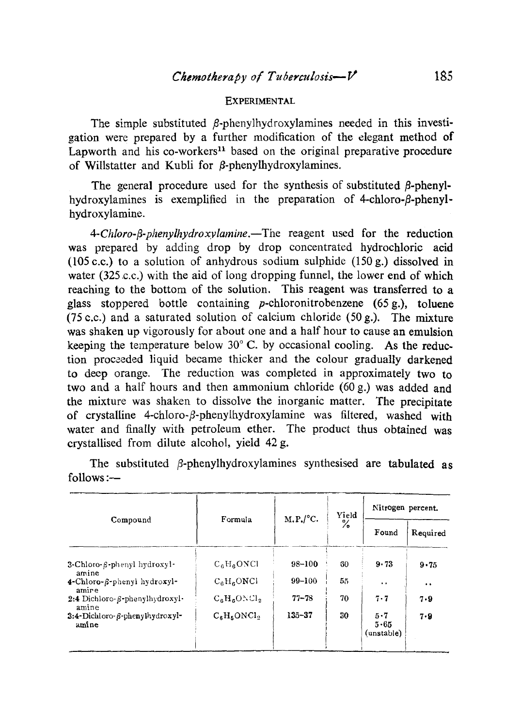#### **EXPERIMENTAL**

The simple substituted  $\beta$ -phenylhydroxylamines needed in this investigation were prepared by a further modification of the elegant method of Lapworth and his co-workers<sup>11</sup> based on the original preparative procedure of Willstatter and Kubli for  $\beta$ -phenylhydroxylamines.

The general procedure used for the synthesis of substituted  $\beta$ -phenylhydroxylamines is exemplified in the preparation of 4-chloro- $\beta$ -phenylhydroxylamine.

*4-Chloro-j3-phenylhydroxvlamine.—The* reagent used for the reduction was prepared by adding drop by drop concentrated hydrochloric acid (105 c.c.) to a solution of anhydrous sodium sulphide (150 g.) dissolved in water (325 c.c.) with the aid of long dropping funnel, the lower end of which reaching to the bottom of the solution. This reagent was transferred to a glass stoppered bottle containing p-chloronitrobenzene (65 g.), toluene (75 c.c.) and a saturated solution of calcium chloride (50 g.). The mixture was shaken up vigorously for about one and a half hour to cause an emulsion keeping the temperature below 30° C. by occasional cooling. As the reduction proceeded liquid became thicker and the colour gradually darkened to deep orange. The reduction was completed in approximately two to two and a half hours and then ammonium chloride (60 g.) was added and the mixture was shaken to dissolve the inorganic matter. The precipitate of crystalline 4-chloro- $\beta$ -phenylhydroxylamine was filtered, washed with water and finally with petroleum ether. The product thus obtained was crystallised from dilute alcohol, yield 42 g.

|                                          |                |            | Yield<br>℅ | Nitrogen percent.                 |                  |
|------------------------------------------|----------------|------------|------------|-----------------------------------|------------------|
| Compound                                 | Formula        | M.P./°C.   |            | Found                             | Required         |
| 3-Chloro-6-phenyl hydroxyl-<br>amine     | $C_6H_6ONCl$   | $98 - 100$ | 60         | 9.73                              | 9.75             |
| 4-Chloro-B-phenyl hydroxyl-<br>amire     | $C_6H_6ONCI$   | $99 - 100$ | 55         | $\ddot{\phantom{1}}$              | $\bullet\bullet$ |
| 2:4 Dichloro-8-phenylhydroxyl-<br>amine  | $C_6H_6ONCl_2$ | $77 - 78$  | 70         | $7 - 7$                           | 7.9              |
| 3:4-Dichloro- ß-phenylhydroxyl-<br>amine | $C_6H_5ONCl_2$ | 135-37     | 30         | $5 - 7$<br>$5 - 65$<br>(unstable) | 7.9              |

The substituted  $\beta$ -phenylhydroxylamines synthesised are tabulated as follows :—